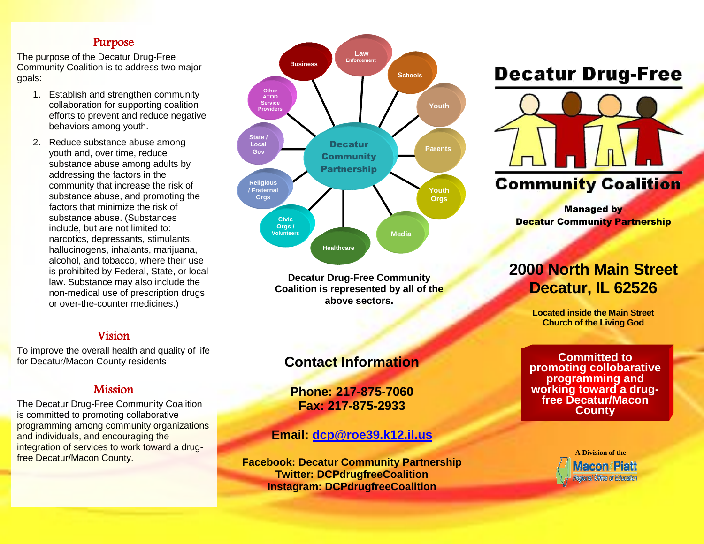### Purpose

The purpose of the Decatur Drug-Free Community Coalition is to address two major goals:

- 1. Establish and strengthen community collaboration for supporting coalition efforts to prevent and reduce negative behaviors among youth.
- 2. Reduce substance abuse among youth and, over time, reduce substance abuse among adults by addressing the factors in the community that increase the risk of substance abuse, and promoting the factors that minimize the risk of substance abuse. (Substances include, but are not limited to: narcotics, depressants, stimulants, hallucinogens, inhalants, marijuana, alcohol, and tobacco, where their use is prohibited by Federal, State, or local law. Substance may also include the non-medical use of prescription drugs or over-the-counter medicines.)

### Vision

To improve the overall health and quality of life for Decatur/Macon County residents

### Mission

The Decatur Drug-Free Community Coalition is committed to promoting collaborative programming among community organizations and individuals, and encouraging the integration of services to work toward a drugfree Decatur/Macon County.



**Decatur Drug-Free Community Coalition is represented by all of the above sectors.**

## **Contact Information**

**Phone: 217-875-7060 Fax: 217-875-2933**

### **Email: [dcp@roe39.k12.il.us](mailto:dcp@roe39.k12.il.us)**

**Facebook: Decatur Community Partnership Twitter: DCPdrugfreeCoalition Instagram: DCPdrugfreeCoalition**

# **Decatur Drug-Free**



**Managed by** Decatur Community Partnership

# **2000 North Main Street Decatur, IL 62526**

**Located inside the Main Street Church of the Living God**

**Committed to promoting collobarative programming and working toward a drugfree Decatur/Macon County**